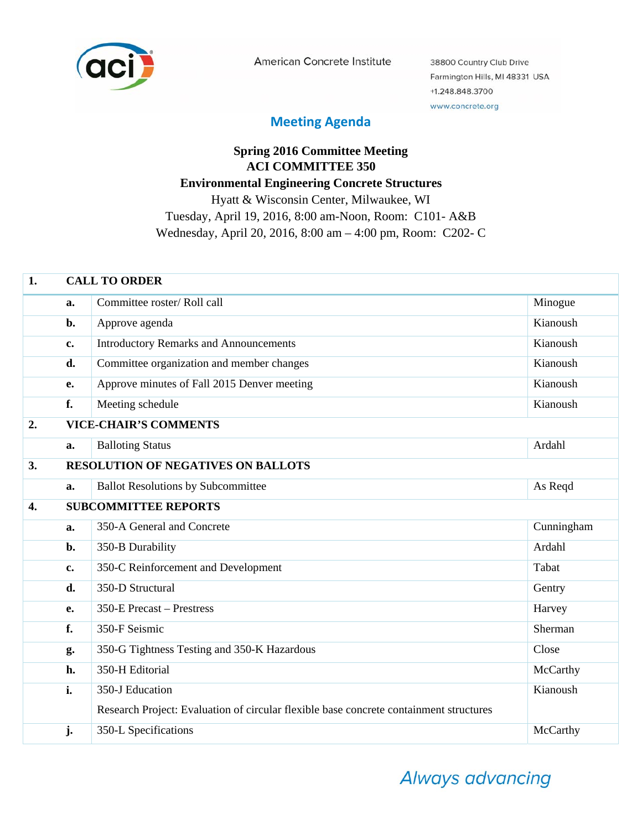

American Concrete Institute

38800 Country Club Drive Farmington Hills, MI 48331 USA +1.248.848.3700 www.concrete.org

## **Meeting Agenda**

## **Spring 2016 Committee Meeting ACI COMMITTEE 350 Environmental Engineering Concrete Structures**  Hyatt & Wisconsin Center, Milwaukee, WI Tuesday, April 19, 2016, 8:00 am-Noon, Room: C101- A&B Wednesday, April 20, 2016, 8:00 am – 4:00 pm, Room: C202- C

| 1.               |                | <b>CALL TO ORDER</b>                                                                   |            |  |  |
|------------------|----------------|----------------------------------------------------------------------------------------|------------|--|--|
|                  | a.             | Committee roster/Roll call                                                             | Minogue    |  |  |
|                  | b.             | Approve agenda                                                                         | Kianoush   |  |  |
|                  | c.             | <b>Introductory Remarks and Announcements</b>                                          | Kianoush   |  |  |
|                  | d.             | Committee organization and member changes                                              | Kianoush   |  |  |
|                  | <b>e.</b>      | Approve minutes of Fall 2015 Denver meeting                                            | Kianoush   |  |  |
|                  | f.             | Meeting schedule                                                                       | Kianoush   |  |  |
| 2.               |                | <b>VICE-CHAIR'S COMMENTS</b>                                                           |            |  |  |
|                  | a.             | <b>Balloting Status</b>                                                                | Ardahl     |  |  |
| 3.               |                | <b>RESOLUTION OF NEGATIVES ON BALLOTS</b>                                              |            |  |  |
|                  | a.             | <b>Ballot Resolutions by Subcommittee</b>                                              | As Reqd    |  |  |
| $\overline{4}$ . |                | <b>SUBCOMMITTEE REPORTS</b>                                                            |            |  |  |
|                  | a.             | 350-A General and Concrete                                                             | Cunningham |  |  |
|                  | $b$ .          | 350-B Durability                                                                       | Ardahl     |  |  |
|                  | $c_{\bullet}$  | 350-C Reinforcement and Development                                                    | Tabat      |  |  |
|                  | d.             | 350-D Structural                                                                       | Gentry     |  |  |
|                  | $\mathbf{e}$ . | 350-E Precast – Prestress                                                              | Harvey     |  |  |
|                  | f.             | 350-F Seismic                                                                          | Sherman    |  |  |
|                  | g.             | 350-G Tightness Testing and 350-K Hazardous                                            | Close      |  |  |
|                  | h.             | 350-H Editorial                                                                        | McCarthy   |  |  |
|                  | i.             | 350-J Education                                                                        | Kianoush   |  |  |
|                  |                | Research Project: Evaluation of circular flexible base concrete containment structures |            |  |  |
|                  | j.             | 350-L Specifications                                                                   | McCarthy   |  |  |

Always advancing